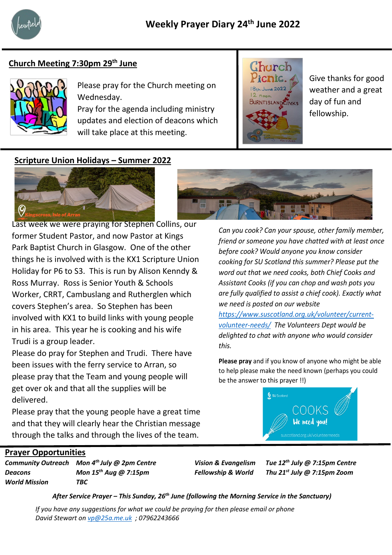

# **Church Meeting 7:30pm 29th June**



Please pray for the Church meeting on Wednesday.

Pray for the agenda including ministry updates and election of deacons which will take place at this meeting.



Give thanks for good weather and a great day of fun and fellowship.

### **Scripture Union Holidays – Summer 2022**



former Student Pastor, and now Pastor at Kings Last week we were praying for Stephen Collins, our Park Baptist Church in Glasgow. One of the other things he is involved with is the KX1 Scripture Union Holiday for P6 to S3. This is run by Alison Kenndy & Ross Murray. Ross is Senior Youth & Schools Worker, CRRT, Cambuslang and Rutherglen which covers Stephen's area. So Stephen has been involved with KX1 to build links with young people in his area. This year he is cooking and his wife Trudi is a group leader.

Please do pray for Stephen and Trudi. There have been issues with the ferry service to Arran, so please pray that the Team and young people will get over ok and that all the supplies will be delivered.

Please pray that the young people have a great time and that they will clearly hear the Christian message through the talks and through the lives of the team.

*Can you cook? Can your spouse, other family member, friend or someone you have chatted with at least once before cook? Would anyone you know consider cooking for SU Scotland this summer? Please put the word out that we need cooks, both Chief Cooks and Assistant Cooks (if you can chop and wash pots you are fully qualified to assist a chief cook). Exactly what we need is posted on our website* 

*https://www.suscotland.org.uk/volunteer/currentvolunteer-needs/ The Volunteers Dept would be delighted to chat with anyone who would consider this.*

**Please pray** and if you know of anyone who might be able to help please make the need known (perhaps you could be the answer to this prayer !!)



### **Prayer Opportunities**

*Community Outreach Mon 4th July @ 2pm Centre Vision & Evangelism Tue 12th July @ 7:15pm Centre Deacons Mon 15th Aug @ 7:15pm Fellowship & World Thu 21st July @ 7:15pm Zoom World Mission TBC*

*After Service Prayer – This Sunday, 26th June (following the Morning Service in the Sanctuary)*

*If you have any suggestions for what we could be praying for then please email or phone David Stewart on [vp@25a.me.uk](mailto:vp@25a.me.uk) ; 07962243666*